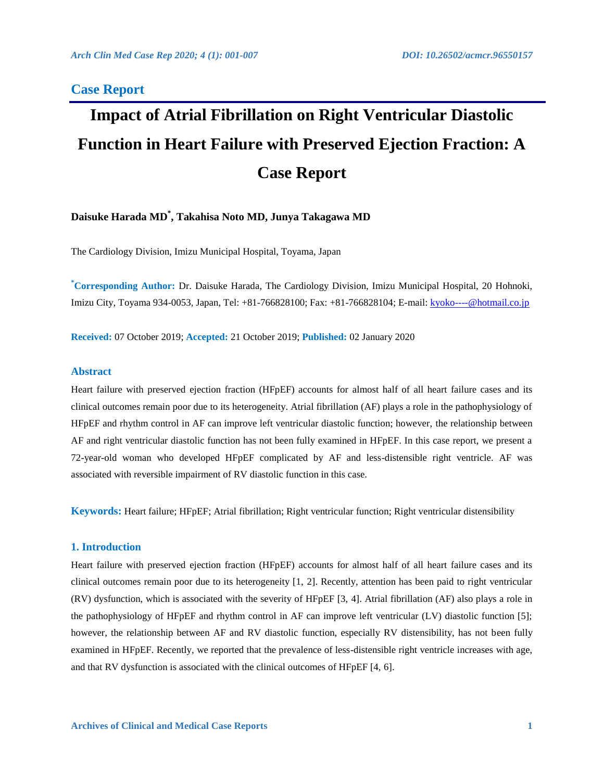## **Case Report**

# **Impact of Atrial Fibrillation on Right Ventricular Diastolic Function in Heart Failure with Preserved Ejection Fraction: A Case Report**

## **Daisuke Harada MD\* , Takahisa Noto MD, Junya Takagawa MD**

The Cardiology Division, Imizu Municipal Hospital, Toyama, Japan

**\*Corresponding Author:** Dr. Daisuke Harada, The Cardiology Division, Imizu Municipal Hospital, 20 Hohnoki, Imizu City, Toyama 934-0053, Japan, Tel: +81-766828100; Fax: +81-766828104; E-mail: [kyoko----@hotmail.co.jp](mailto:kyoko----@hotmail.co.jp)

**Received:** 07 October 2019; **Accepted:** 21 October 2019; **Published:** 02 January 2020

#### **Abstract**

Heart failure with preserved ejection fraction (HFpEF) accounts for almost half of all heart failure cases and its clinical outcomes remain poor due to its heterogeneity. Atrial fibrillation (AF) plays a role in the pathophysiology of HFpEF and rhythm control in AF can improve left ventricular diastolic function; however, the relationship between AF and right ventricular diastolic function has not been fully examined in HFpEF. In this case report, we present a 72-year-old woman who developed HFpEF complicated by AF and less-distensible right ventricle. AF was associated with reversible impairment of RV diastolic function in this case.

**Keywords:** Heart failure; HFpEF; Atrial fibrillation; Right ventricular function; Right ventricular distensibility

#### **1. Introduction**

Heart failure with preserved ejection fraction (HFpEF) accounts for almost half of all heart failure cases and its clinical outcomes remain poor due to its heterogeneity [1, 2]. Recently, attention has been paid to right ventricular (RV) dysfunction, which is associated with the severity of HFpEF [3, 4]. Atrial fibrillation (AF) also plays a role in the pathophysiology of HFpEF and rhythm control in AF can improve left ventricular (LV) diastolic function [5]; however, the relationship between AF and RV diastolic function, especially RV distensibility, has not been fully examined in HFpEF. Recently, we reported that the prevalence of less-distensible right ventricle increases with age, and that RV dysfunction is associated with the clinical outcomes of HFpEF [4, 6].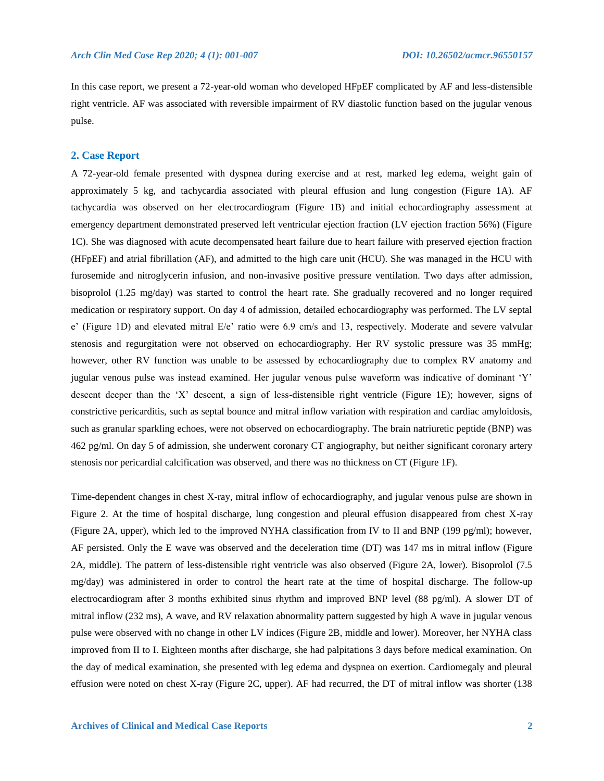In this case report, we present a 72-year-old woman who developed HFpEF complicated by AF and less-distensible right ventricle. AF was associated with reversible impairment of RV diastolic function based on the jugular venous pulse.

#### **2. Case Report**

A 72-year-old female presented with dyspnea during exercise and at rest, marked leg edema, weight gain of approximately 5 kg, and tachycardia associated with pleural effusion and lung congestion (Figure 1A). AF tachycardia was observed on her electrocardiogram (Figure 1B) and initial echocardiography assessment at emergency department demonstrated preserved left ventricular ejection fraction (LV ejection fraction 56%) (Figure 1C). She was diagnosed with acute decompensated heart failure due to heart failure with preserved ejection fraction (HFpEF) and atrial fibrillation (AF), and admitted to the high care unit (HCU). She was managed in the HCU with furosemide and nitroglycerin infusion, and non-invasive positive pressure ventilation. Two days after admission, bisoprolol (1.25 mg/day) was started to control the heart rate. She gradually recovered and no longer required medication or respiratory support. On day 4 of admission, detailed echocardiography was performed. The LV septal e' (Figure 1D) and elevated mitral E/e' ratio were 6.9 cm/s and 13, respectively. Moderate and severe valvular stenosis and regurgitation were not observed on echocardiography. Her RV systolic pressure was 35 mmHg; however, other RV function was unable to be assessed by echocardiography due to complex RV anatomy and jugular venous pulse was instead examined. Her jugular venous pulse waveform was indicative of dominant 'Y' descent deeper than the 'X' descent, a sign of less-distensible right ventricle (Figure 1E); however, signs of constrictive pericarditis, such as septal bounce and mitral inflow variation with respiration and cardiac amyloidosis, such as granular sparkling echoes, were not observed on echocardiography. The brain natriuretic peptide (BNP) was 462 pg/ml. On day 5 of admission, she underwent coronary CT angiography, but neither significant coronary artery stenosis nor pericardial calcification was observed, and there was no thickness on CT (Figure 1F).

Time-dependent changes in chest X-ray, mitral inflow of echocardiography, and jugular venous pulse are shown in Figure 2. At the time of hospital discharge, lung congestion and pleural effusion disappeared from chest X-ray (Figure 2A, upper), which led to the improved NYHA classification from IV to II and BNP (199 pg/ml); however, AF persisted. Only the E wave was observed and the deceleration time (DT) was 147 ms in mitral inflow (Figure 2A, middle). The pattern of less-distensible right ventricle was also observed (Figure 2A, lower). Bisoprolol (7.5 mg/day) was administered in order to control the heart rate at the time of hospital discharge. The follow-up electrocardiogram after 3 months exhibited sinus rhythm and improved BNP level (88 pg/ml). A slower DT of mitral inflow (232 ms), A wave, and RV relaxation abnormality pattern suggested by high A wave in jugular venous pulse were observed with no change in other LV indices (Figure 2B, middle and lower). Moreover, her NYHA class improved from II to I. Eighteen months after discharge, she had palpitations 3 days before medical examination. On the day of medical examination, she presented with leg edema and dyspnea on exertion. Cardiomegaly and pleural effusion were noted on chest X-ray (Figure 2C, upper). AF had recurred, the DT of mitral inflow was shorter (138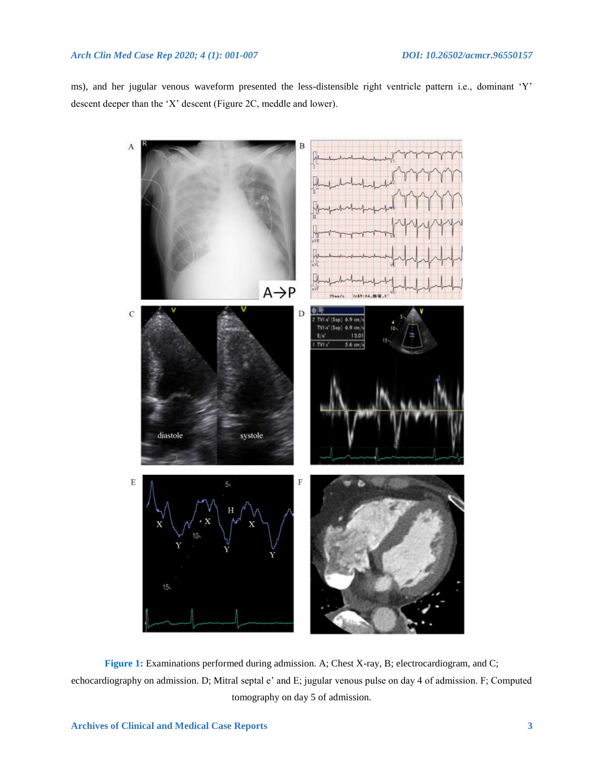## *Arch Clin Med Case Rep 2020; 4 (1): 001-007 DOI: 10.26502/acmcr.96550157*

ms), and her jugular venous waveform presented the less-distensible right ventricle pattern i.e., dominant 'Y' descent deeper than the 'X' descent (Figure 2C, meddle and lower).



**Figure 1:** Examinations performed during admission. A; Chest X-ray, B; electrocardiogram, and C; echocardiography on admission. D; Mitral septal e' and E; jugular venous pulse on day 4 of admission. F; Computed tomography on day 5 of admission.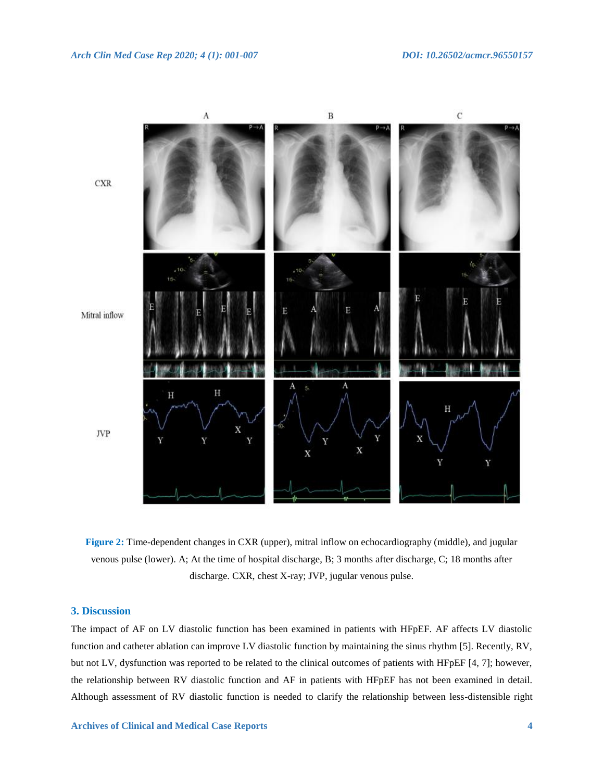

**Figure 2:** Time-dependent changes in CXR (upper), mitral inflow on echocardiography (middle), and jugular venous pulse (lower). A; At the time of hospital discharge, B; 3 months after discharge, C; 18 months after discharge. CXR, chest X-ray; JVP, jugular venous pulse.

## **3. Discussion**

The impact of AF on LV diastolic function has been examined in patients with HFpEF. AF affects LV diastolic function and catheter ablation can improve LV diastolic function by maintaining the sinus rhythm [5]. Recently, RV, but not LV, dysfunction was reported to be related to the clinical outcomes of patients with HFpEF [4, 7]; however, the relationship between RV diastolic function and AF in patients with HFpEF has not been examined in detail. Although assessment of RV diastolic function is needed to clarify the relationship between less-distensible right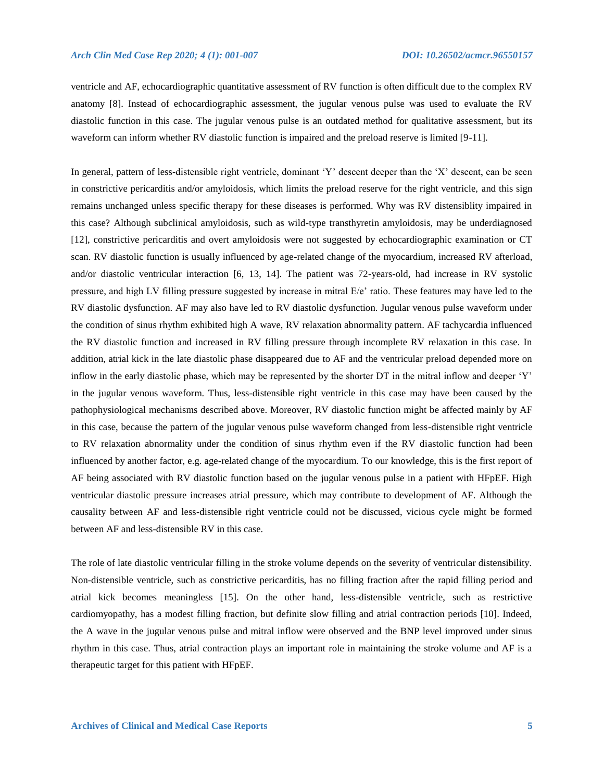ventricle and AF, echocardiographic quantitative assessment of RV function is often difficult due to the complex RV anatomy [8]. Instead of echocardiographic assessment, the jugular venous pulse was used to evaluate the RV diastolic function in this case. The jugular venous pulse is an outdated method for qualitative assessment, but its waveform can inform whether RV diastolic function is impaired and the preload reserve is limited [9-11].

In general, pattern of less-distensible right ventricle, dominant 'Y' descent deeper than the 'X' descent, can be seen in constrictive pericarditis and/or amyloidosis, which limits the preload reserve for the right ventricle, and this sign remains unchanged unless specific therapy for these diseases is performed. Why was RV distensiblity impaired in this case? Although subclinical amyloidosis, such as wild-type transthyretin amyloidosis, may be underdiagnosed [12], constrictive pericarditis and overt amyloidosis were not suggested by echocardiographic examination or CT scan. RV diastolic function is usually influenced by age-related change of the myocardium, increased RV afterload, and/or diastolic ventricular interaction [6, 13, 14]. The patient was 72-years-old, had increase in RV systolic pressure, and high LV filling pressure suggested by increase in mitral E/e' ratio. These features may have led to the RV diastolic dysfunction. AF may also have led to RV diastolic dysfunction. Jugular venous pulse waveform under the condition of sinus rhythm exhibited high A wave, RV relaxation abnormality pattern. AF tachycardia influenced the RV diastolic function and increased in RV filling pressure through incomplete RV relaxation in this case. In addition, atrial kick in the late diastolic phase disappeared due to AF and the ventricular preload depended more on inflow in the early diastolic phase, which may be represented by the shorter DT in the mitral inflow and deeper 'Y' in the jugular venous waveform. Thus, less-distensible right ventricle in this case may have been caused by the pathophysiological mechanisms described above. Moreover, RV diastolic function might be affected mainly by AF in this case, because the pattern of the jugular venous pulse waveform changed from less-distensible right ventricle to RV relaxation abnormality under the condition of sinus rhythm even if the RV diastolic function had been influenced by another factor, e.g. age-related change of the myocardium. To our knowledge, this is the first report of AF being associated with RV diastolic function based on the jugular venous pulse in a patient with HFpEF. High ventricular diastolic pressure increases atrial pressure, which may contribute to development of AF. Although the causality between AF and less-distensible right ventricle could not be discussed, vicious cycle might be formed between AF and less-distensible RV in this case.

The role of late diastolic ventricular filling in the stroke volume depends on the severity of ventricular distensibility. Non-distensible ventricle, such as constrictive pericarditis, has no filling fraction after the rapid filling period and atrial kick becomes meaningless [15]. On the other hand, less-distensible ventricle, such as restrictive cardiomyopathy, has a modest filling fraction, but definite slow filling and atrial contraction periods [10]. Indeed, the A wave in the jugular venous pulse and mitral inflow were observed and the BNP level improved under sinus rhythm in this case. Thus, atrial contraction plays an important role in maintaining the stroke volume and AF is a therapeutic target for this patient with HFpEF.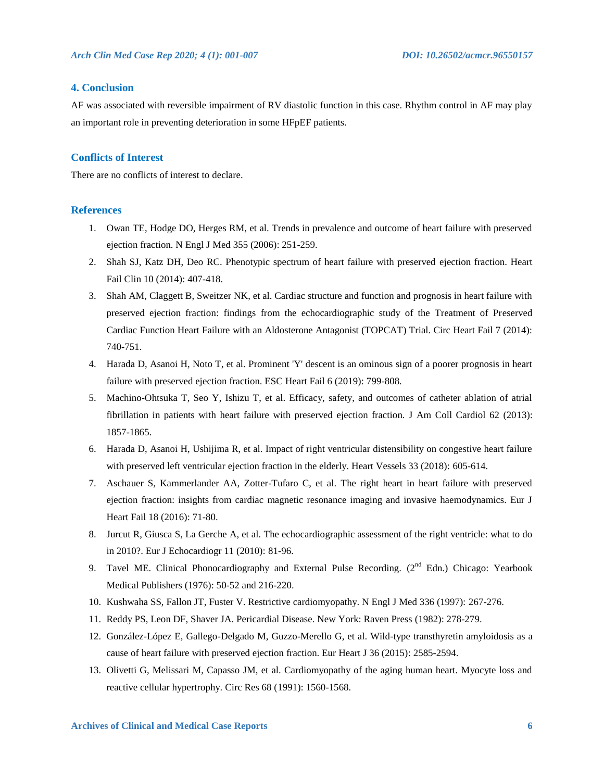## **4. Conclusion**

AF was associated with reversible impairment of RV diastolic function in this case. Rhythm control in AF may play an important role in preventing deterioration in some HFpEF patients.

## **Conflicts of Interest**

There are no conflicts of interest to declare.

#### **References**

- 1. Owan TE, Hodge DO, Herges RM, et al. Trends in prevalence and outcome of heart failure with preserved ejection fraction. N Engl J Med 355 (2006): 251-259.
- 2. Shah SJ, Katz DH, Deo RC. Phenotypic spectrum of heart failure with preserved ejection fraction. Heart Fail Clin 10 (2014): 407-418.
- 3. Shah AM, Claggett B, Sweitzer NK, et al. Cardiac structure and function and prognosis in heart failure with preserved ejection fraction: findings from the echocardiographic study of the Treatment of Preserved Cardiac Function Heart Failure with an Aldosterone Antagonist (TOPCAT) Trial. Circ Heart Fail 7 (2014): 740-751.
- 4. Harada D, Asanoi H, Noto T, et al. Prominent 'Y' descent is an ominous sign of a poorer prognosis in heart failure with preserved ejection fraction. ESC Heart Fail 6 (2019): 799-808.
- 5. Machino-Ohtsuka T, Seo Y, Ishizu T, et al. Efficacy, safety, and outcomes of catheter ablation of atrial fibrillation in patients with heart failure with preserved ejection fraction. J Am Coll Cardiol 62 (2013): 1857-1865.
- 6. Harada D, Asanoi H, Ushijima R, et al. Impact of right ventricular distensibility on congestive heart failure with preserved left ventricular ejection fraction in the elderly. Heart Vessels 33 (2018): 605-614.
- 7. Aschauer S, Kammerlander AA, Zotter-Tufaro C, et al. The right heart in heart failure with preserved ejection fraction: insights from cardiac magnetic resonance imaging and invasive haemodynamics. Eur J Heart Fail 18 (2016): 71-80.
- 8. Jurcut R, Giusca S, La Gerche A, et al. The echocardiographic assessment of the right ventricle: what to do in 2010?. Eur J Echocardiogr 11 (2010): 81-96.
- 9. Tavel ME. Clinical Phonocardiography and External Pulse Recording. (2<sup>nd</sup> Edn.) Chicago: Yearbook Medical Publishers (1976): 50-52 and 216-220.
- 10. Kushwaha SS, Fallon JT, Fuster V. Restrictive cardiomyopathy. N Engl J Med 336 (1997): 267-276.
- 11. Reddy PS, Leon DF, Shaver JA. Pericardial Disease. New York: Raven Press (1982): 278-279.
- 12. González-López E, Gallego-Delgado M, Guzzo-Merello G, et al. Wild-type transthyretin amyloidosis as a cause of heart failure with preserved ejection fraction. Eur Heart J 36 (2015): 2585-2594.
- 13. Olivetti G, Melissari M, Capasso JM, et al. Cardiomyopathy of the aging human heart. Myocyte loss and reactive cellular hypertrophy. Circ Res 68 (1991): 1560-1568.